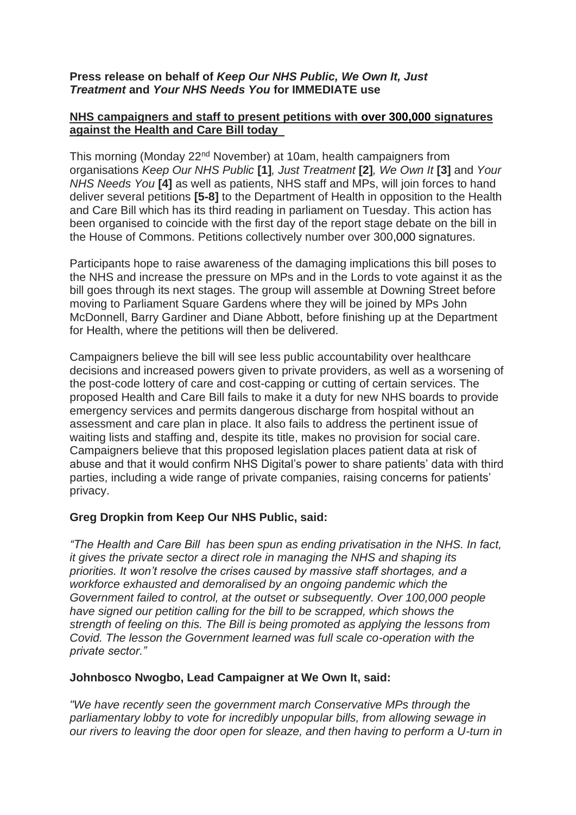### **Press release on behalf of** *Keep Our NHS Public, We Own It, Just Treatment* **and** *Your NHS Needs You* **for IMMEDIATE use**

### **NHS campaigners and staff to present petitions with over 300,000 signatures against the Health and Care Bill today**

This morning (Monday 22nd November) at 10am, health campaigners from organisations *Keep Our NHS Public* **[1]***, Just Treatment* **[2]***, We Own It* **[3]** and *Your NHS Needs You* **[4]** as well as patients, NHS staff and MPs, will join forces to hand deliver several petitions **[5-8]** to the Department of Health in opposition to the Health and Care Bill which has its third reading in parliament on Tuesday. This action has been organised to coincide with the first day of the report stage debate on the bill in the House of Commons. Petitions collectively number over 300,000 signatures.

Participants hope to raise awareness of the damaging implications this bill poses to the NHS and increase the pressure on MPs and in the Lords to vote against it as the bill goes through its next stages. The group will assemble at Downing Street before moving to Parliament Square Gardens where they will be joined by MPs John McDonnell, Barry Gardiner and Diane Abbott, before finishing up at the Department for Health, where the petitions will then be delivered.

Campaigners believe the bill will see less public accountability over healthcare decisions and increased powers given to private providers, as well as a worsening of the post-code lottery of care and cost-capping or cutting of certain services. The proposed Health and Care Bill fails to make it a duty for new NHS boards to provide emergency services and permits dangerous discharge from hospital without an assessment and care plan in place. It also fails to address the pertinent issue of waiting lists and staffing and, despite its title, makes no provision for social care. Campaigners believe that this proposed legislation places patient data at risk of abuse and that it would confirm NHS Digital's power to share patients' data with third parties, including a wide range of private companies, raising concerns for patients' privacy.

# **Greg Dropkin from Keep Our NHS Public, said:**

*"The Health and Care Bill has been spun as ending privatisation in the NHS. In fact, it gives the private sector a direct role in managing the NHS and shaping its priorities. It won't resolve the crises caused by massive staff shortages, and a workforce exhausted and demoralised by an ongoing pandemic which the Government failed to control, at the outset or subsequently. Over 100,000 people have signed our petition calling for the bill to be scrapped, which shows the strength of feeling on this. The Bill is being promoted as applying the lessons from Covid. The lesson the Government learned was full scale co-operation with the private sector."*

# **Johnbosco Nwogbo, Lead Campaigner at We Own It, said:**

*"We have recently seen the government march Conservative MPs through the parliamentary lobby to vote for incredibly unpopular bills, from allowing sewage in our rivers to leaving the door open for sleaze, and then having to perform a U-turn in*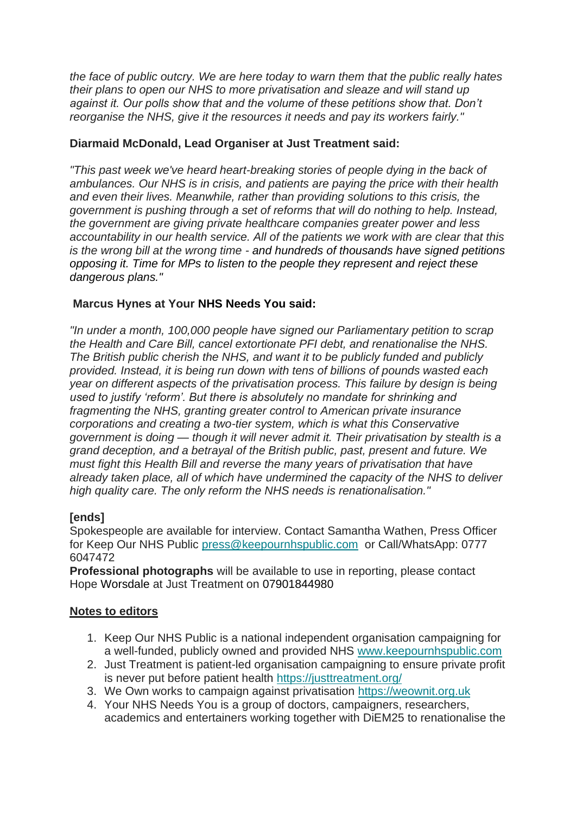*the face of public outcry. We are here today to warn them that the public really hates their plans to open our NHS to more privatisation and sleaze and will stand up against it. Our polls show that and the volume of these petitions show that. Don't reorganise the NHS, give it the resources it needs and pay its workers fairly."*

## **Diarmaid McDonald, Lead Organiser at Just Treatment said:**

*"This past week we've heard heart-breaking stories of people dying in the back of ambulances. Our NHS is in crisis, and patients are paying the price with their health and even their lives. Meanwhile, rather than providing solutions to this crisis, the government is pushing through a set of reforms that will do nothing to help. Instead, the government are giving private healthcare companies greater power and less accountability in our health service. All of the patients we work with are clear that this is the wrong bill at the wrong time - and hundreds of thousands have signed petitions opposing it. Time for MPs to listen to the people they represent and reject these dangerous plans."*

### **Marcus Hynes at Your NHS Needs You said:**

*"In under a month, 100,000 people have signed our Parliamentary petition to scrap the Health and Care Bill, cancel extortionate PFI debt, and renationalise the NHS. The British public cherish the NHS, and want it to be publicly funded and publicly provided. Instead, it is being run down with tens of billions of pounds wasted each year on different aspects of the privatisation process. This failure by design is being used to justify 'reform'. But there is absolutely no mandate for shrinking and fragmenting the NHS, granting greater control to American private insurance corporations and creating a two-tier system, which is what this Conservative government is doing — though it will never admit it. Their privatisation by stealth is a grand deception, and a betrayal of the British public, past, present and future. We must fight this Health Bill and reverse the many years of privatisation that have already taken place, all of which have undermined the capacity of the NHS to deliver high quality care. The only reform the NHS needs is renationalisation."* 

# **[ends]**

Spokespeople are available for interview. Contact Samantha Wathen, Press Officer for Keep Our NHS Public [press@keepournhspublic.com](mailto:press@keepournhspublic.com) or Call/WhatsApp: 0777 6047472

**Professional photographs** will be available to use in reporting, please contact Hope Worsdale at Just Treatment on 07901844980

# **Notes to editors**

- 1. Keep Our NHS Public is a national independent organisation campaigning for a well-funded, publicly owned and provided NHS [www.keepournhspublic.com](http://www.keepournhspublic.com/)
- 2. Just Treatment is patient-led organisation campaigning to ensure private profit is never put before patient health <https://justtreatment.org/>
- 3. We Own works to campaign against privatisation [https://weownit.org.uk](https://weownit.org.uk/)
- 4. Your NHS Needs You is a group of doctors, campaigners, researchers, academics and entertainers working together with DiEM25 to renationalise the